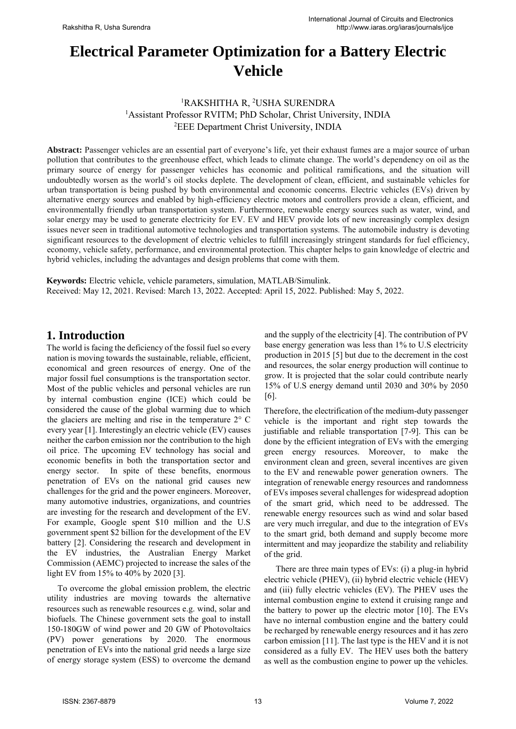# **Electrical Parameter Optimization for a Battery Electric Vehicle**

## <sup>1</sup>RAKSHITHA R, <sup>2</sup>USHA SURENDRA <sup>1</sup> Assistant Professor RVITM; PhD Scholar, Christ University, INDIA <sup>2</sup>EEE Department Christ University, INDIA

**Abstract:** Passenger vehicles are an essential part of everyone's life, yet their exhaust fumes are a major source of urban pollution that contributes to the greenhouse effect, which leads to climate change. The world's dependency on oil as the primary source of energy for passenger vehicles has economic and political ramifications, and the situation will undoubtedly worsen as the world's oil stocks deplete. The development of clean, efficient, and sustainable vehicles for urban transportation is being pushed by both environmental and economic concerns. Electric vehicles (EVs) driven by alternative energy sources and enabled by high-efficiency electric motors and controllers provide a clean, efficient, and environmentally friendly urban transportation system. Furthermore, renewable energy sources such as water, wind, and solar energy may be used to generate electricity for EV. EV and HEV provide lots of new increasingly complex design issues never seen in traditional automotive technologies and transportation systems. The automobile industry is devoting significant resources to the development of electric vehicles to fulfill increasingly stringent standards for fuel efficiency, economy, vehicle safety, performance, and environmental protection. This chapter helps to gain knowledge of electric and hybrid vehicles, including the advantages and design problems that come with them.

**Keywords:** Electric vehicle, vehicle parameters, simulation, MATLAB/Simulink. Received: May 12, 2021. Revised: March 13, 2022. Accepted: April 15, 2022. Published: May 5, 2022.

# **1. Introduction**

The world is facing the deficiency of the fossil fuel so every nation is moving towards the sustainable, reliable, efficient, economical and green resources of energy. One of the major fossil fuel consumptions is the transportation sector. Most of the public vehicles and personal vehicles are run by internal combustion engine (ICE) which could be considered the cause of the global warming due to which the glaciers are melting and rise in the temperature 2° C every year [1]. Interestingly an electric vehicle (EV) causes neither the carbon emission nor the contribution to the high oil price. The upcoming EV technology has social and economic benefits in both the transportation sector and energy sector. In spite of these benefits, enormous penetration of EVs on the national grid causes new challenges for the grid and the power engineers. Moreover, many automotive industries, organizations, and countries are investing for the research and development of the EV. For example, Google spent \$10 million and the U.S government spent \$2 billion for the development of the EV battery [2]. Considering the research and development in the EV industries, the Australian Energy Market Commission (AEMC) projected to increase the sales of the light EV from 15% to 40% by 2020 [3].

 To overcome the global emission problem, the electric utility industries are moving towards the alternative resources such as renewable resources e.g. wind, solar and biofuels. The Chinese government sets the goal to install 150-180GW of wind power and 20 GW of Photovoltaics (PV) power generations by 2020. The enormous penetration of EVs into the national grid needs a large size of energy storage system (ESS) to overcome the demand and the supply of the electricity [4]. The contribution of PV base energy generation was less than 1% to U.S electricity production in 2015 [5] but due to the decrement in the cost and resources, the solar energy production will continue to grow. It is projected that the solar could contribute nearly 15% of U.S energy demand until 2030 and 30% by 2050 [6].

Therefore, the electrification of the medium-duty passenger vehicle is the important and right step towards the justifiable and reliable transportation [7-9]. This can be done by the efficient integration of EVs with the emerging green energy resources. Moreover, to make the environment clean and green, several incentives are given to the EV and renewable power generation owners. The integration of renewable energy resources and randomness of EVs imposes several challenges for widespread adoption of the smart grid, which need to be addressed. The renewable energy resources such as wind and solar based are very much irregular, and due to the integration of EVs to the smart grid, both demand and supply become more intermittent and may jeopardize the stability and reliability of the grid.

There are three main types of EVs: (i) a plug-in hybrid electric vehicle (PHEV), (ii) hybrid electric vehicle (HEV) and (iii) fully electric vehicles (EV). The PHEV uses the internal combustion engine to extend it cruising range and the battery to power up the electric motor [10]. The EVs have no internal combustion engine and the battery could be recharged by renewable energy resources and it has zero carbon emission [11]. The last type is the HEV and it is not considered as a fully EV. The HEV uses both the battery as well as the combustion engine to power up the vehicles.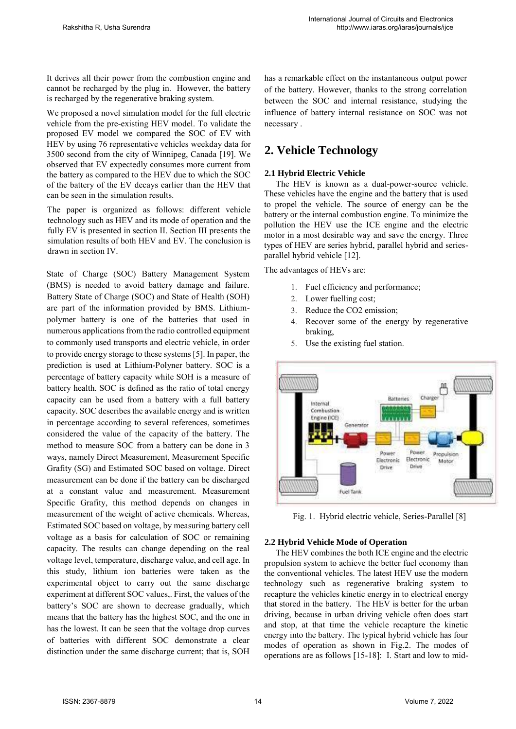It derives all their power from the combustion engine and cannot be recharged by the plug in. However, the battery is recharged by the regenerative braking system.

We proposed a novel simulation model for the full electric vehicle from the pre-existing HEV model. To validate the proposed EV model we compared the SOC of EV with HEV by using 76 representative vehicles weekday data for 3500 second from the city of Winnipeg, Canada [19]. We observed that EV expectedly consumes more current from the battery as compared to the HEV due to which the SOC of the battery of the EV decays earlier than the HEV that can be seen in the simulation results.

The paper is organized as follows: different vehicle technology such as HEV and its mode of operation and the fully EV is presented in section II. Section III presents the simulation results of both HEV and EV. The conclusion is drawn in section IV.

State of Charge (SOC) Battery Management System (BMS) is needed to avoid battery damage and failure. Battery State of Charge (SOC) and State of Health (SOH) are part of the information provided by BMS. Lithiumpolymer battery is one of the batteries that used in numerous applications from the radio controlled equipment to commonly used transports and electric vehicle, in order to provide energy storage to these systems [5]. In paper, the prediction is used at Lithium-Polyner battery. SOC is a percentage of battery capacity while SOH is a measure of battery health. SOC is defined as the ratio of total energy capacity can be used from a battery with a full battery capacity. SOC describes the available energy and is written in percentage according to several references, sometimes considered the value of the capacity of the battery. The method to measure SOC from a battery can be done in 3 ways, namely Direct Measurement, Measurement Specific Grafity (SG) and Estimated SOC based on voltage. Direct measurement can be done if the battery can be discharged at a constant value and measurement. Measurement Specific Grafity, this method depends on changes in measurement of the weight of active chemicals. Whereas, Estimated SOC based on voltage, by measuring battery cell voltage as a basis for calculation of SOC or remaining capacity. The results can change depending on the real voltage level, temperature, discharge value, and cell age. In this study, lithium ion batteries were taken as the experimental object to carry out the same discharge experiment at different SOC values,. First, the values of the battery's SOC are shown to decrease gradually, which means that the battery has the highest SOC, and the one in has the lowest. It can be seen that the voltage drop curves of batteries with different SOC demonstrate a clear distinction under the same discharge current; that is, SOH

has a remarkable effect on the instantaneous output power of the battery. However, thanks to the strong correlation between the SOC and internal resistance, studying the influence of battery internal resistance on SOC was not necessary .

# **2. Vehicle Technology**

### **2.1 Hybrid Electric Vehicle**

The HEV is known as a dual-power-source vehicle. These vehicles have the engine and the battery that is used to propel the vehicle. The source of energy can be the battery or the internal combustion engine. To minimize the pollution the HEV use the ICE engine and the electric motor in a most desirable way and save the energy. Three types of HEV are series hybrid, parallel hybrid and seriesparallel hybrid vehicle [12].

The advantages of HEVs are:

- 1. Fuel efficiency and performance;
- 2. Lower fuelling cost;
- 3. Reduce the CO2 emission;
- 4. Recover some of the energy by regenerative braking,
- 5. Use the existing fuel station.



Fig. 1. Hybrid electric vehicle, Series-Parallel [8]

#### **2.2 Hybrid Vehicle Mode of Operation**

The HEV combines the both ICE engine and the electric propulsion system to achieve the better fuel economy than the conventional vehicles. The latest HEV use the modern technology such as regenerative braking system to recapture the vehicles kinetic energy in to electrical energy that stored in the battery. The HEV is better for the urban driving, because in urban driving vehicle often does start and stop, at that time the vehicle recapture the kinetic energy into the battery. The typical hybrid vehicle has four modes of operation as shown in Fig.2. The modes of operations are as follows [15-18]: I. Start and low to mid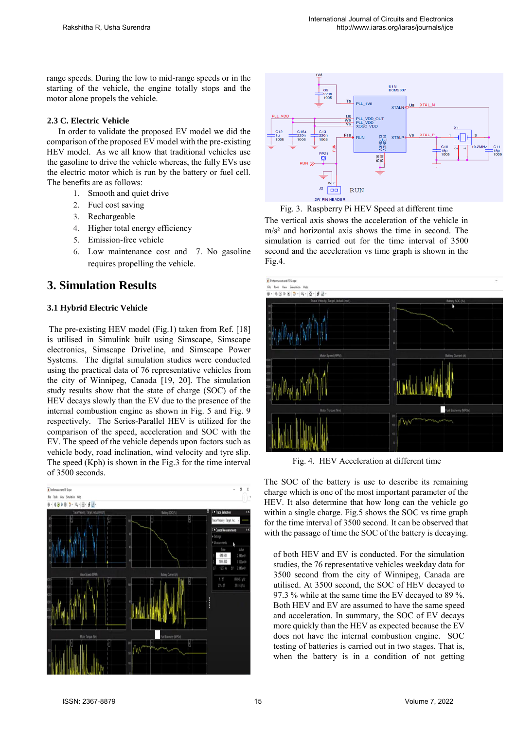range speeds. During the low to mid-range speeds or in the starting of the vehicle, the engine totally stops and the motor alone propels the vehicle.

#### **2.3 C. Electric Vehicle**

In order to validate the proposed EV model we did the comparison of the proposed EV model with the pre-existing HEV model. As we all know that traditional vehicles use the gasoline to drive the vehicle whereas, the fully EVs use the electric motor which is run by the battery or fuel cell. The benefits are as follows:

- 1. Smooth and quiet drive
- 2. Fuel cost saving
- 3. Rechargeable
- 4. Higher total energy efficiency
- 5. Emission-free vehicle
- 6. Low maintenance cost and 7. No gasoline requires propelling the vehicle.

# **3. Simulation Results**

### **3.1 Hybrid Electric Vehicle**

 The pre-existing HEV model (Fig.1) taken from Ref. [18] is utilised in Simulink built using Simscape, Simscape electronics, Simscape Driveline, and Simscape Power Systems. The digital simulation studies were conducted using the practical data of 76 representative vehicles from the city of Winnipeg, Canada [19, 20]. The simulation study results show that the state of charge (SOC) of the HEV decays slowly than the EV due to the presence of the internal combustion engine as shown in Fig. 5 and Fig. 9 respectively. The Series-Parallel HEV is utilized for the comparison of the speed, acceleration and SOC with the EV. The speed of the vehicle depends upon factors such as vehicle body, road inclination, wind velocity and tyre slip. The speed (Kph) is shown in the Fig.3 for the time interval of 3500 seconds.







The vertical axis shows the acceleration of the vehicle in m/s² and horizontal axis shows the time in second. The simulation is carried out for the time interval of 3500 second and the acceleration vs time graph is shown in the Fig.4.



Fig. 4. HEV Acceleration at different time

The SOC of the battery is use to describe its remaining charge which is one of the most important parameter of the HEV. It also determine that how long can the vehicle go within a single charge. Fig.5 shows the SOC vs time graph for the time interval of 3500 second. It can be observed that with the passage of time the SOC of the battery is decaying.

of both HEV and EV is conducted. For the simulation studies, the 76 representative vehicles weekday data for 3500 second from the city of Winnipeg, Canada are utilised. At 3500 second, the SOC of HEV decayed to 97.3 % while at the same time the EV decayed to 89 %. Both HEV and EV are assumed to have the same speed and acceleration. In summary, the SOC of EV decays more quickly than the HEV as expected because the EV does not have the internal combustion engine. SOC testing of batteries is carried out in two stages. That is, when the battery is in a condition of not getting